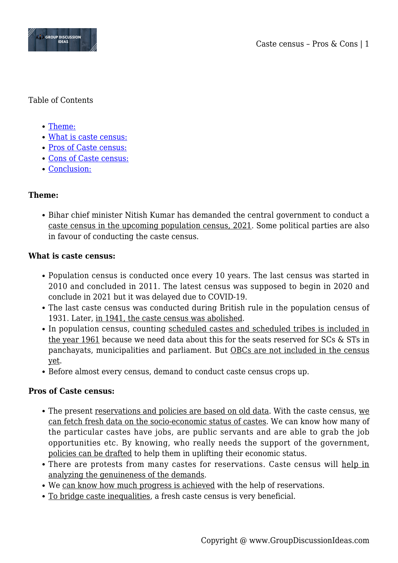

## Table of Contents

- [Theme:](#page--1-0)
- [What is caste census:](#page--1-0)
- [Pros of Caste census:](#page--1-0)
- [Cons of Caste census:](#page--1-0)
- [Conclusion:](#page--1-0)

# **Theme:**

• Bihar chief minister Nitish Kumar has demanded the central government to conduct a caste census in the upcoming population census, 2021. Some political parties are also in favour of conducting the caste census.

## **What is caste census:**

- Population census is conducted once every 10 years. The last census was started in 2010 and concluded in 2011. The latest census was supposed to begin in 2020 and conclude in 2021 but it was delayed due to COVID-19.
- The last caste census was conducted during British rule in the population census of 1931. Later, in 1941, the caste census was abolished.
- In population census, counting scheduled castes and scheduled tribes is included in the year 1961 because we need data about this for the seats reserved for SCs & STs in panchayats, municipalities and parliament. But OBCs are not included in the census yet.
- Before almost every census, demand to conduct caste census crops up.

## **Pros of Caste census:**

- The present reservations and policies are based on old data. With the caste census, we can fetch fresh data on the socio-economic status of castes. We can know how many of the particular castes have jobs, are public servants and are able to grab the job opportunities etc. By knowing, who really needs the support of the government, policies can be drafted to help them in uplifting their economic status.
- There are protests from many castes for reservations. Caste census will help in analyzing the genuineness of the demands.
- We can know how much progress is achieved with the help of reservations.
- To bridge caste inequalities, a fresh caste census is very beneficial.